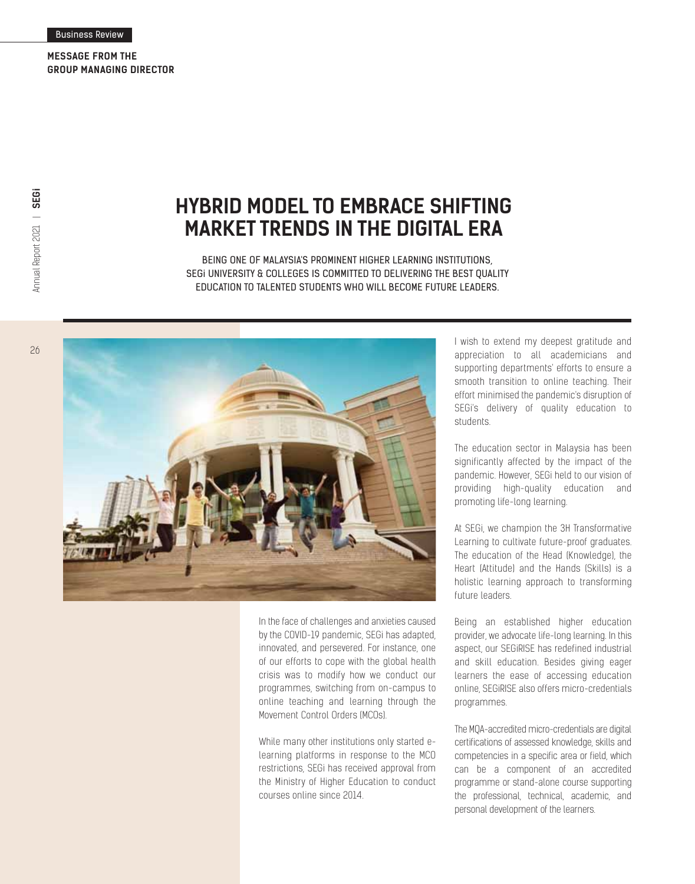**MESSAGE FROM THE GROUP MANAGING DIRECTOR**

26

## **HYBRID MODEL TO EMBRACE SHIFTING MARKET TRENDS IN THE DIGITAL ERA**

BEING ONE OF MALAYSIA'S PROMINENT HIGHER LEARNING INSTITUTIONS, SEGi UNIVERSITY & COLLEGES IS COMMITTED TO DELIVERING THE BEST QUALITY EDUCATION TO TALENTED STUDENTS WHO WILL BECOME FUTURE LEADERS.



In the face of challenges and anxieties caused by the COVID-19 pandemic, SEGi has adapted, innovated, and persevered. For instance, one of our efforts to cope with the global health crisis was to modify how we conduct our programmes, switching from on-campus to online teaching and learning through the Movement Control Orders (MCOs).

While many other institutions only started elearning platforms in response to the MCO restrictions, SEGi has received approval from the Ministry of Higher Education to conduct courses online since 2014.

I wish to extend my deepest gratitude and appreciation to all academicians and supporting departments' efforts to ensure a smooth transition to online teaching. Their effort minimised the pandemic's disruption of SEGi's delivery of quality education to students.

The education sector in Malaysia has been significantly affected by the impact of the pandemic. However, SEGi held to our vision of providing high-quality education and promoting life-long learning.

At SEGi, we champion the 3H Transformative Learning to cultivate future-proof graduates. The education of the Head (Knowledge), the Heart (Attitude) and the Hands (Skills) is a holistic learning approach to transforming future leaders.

Being an established higher education provider, we advocate life-long learning. In this aspect, our SEGiRISE has redefined industrial and skill education. Besides giving eager learners the ease of accessing education online, SEGiRISE also offers micro-credentials programmes.

The MQA-accredited micro-credentials are digital certifications of assessed knowledge, skills and competencies in a specific area or field, which can be a component of an accredited programme or stand-alone course supporting the professional, technical, academic, and personal development of the learners.